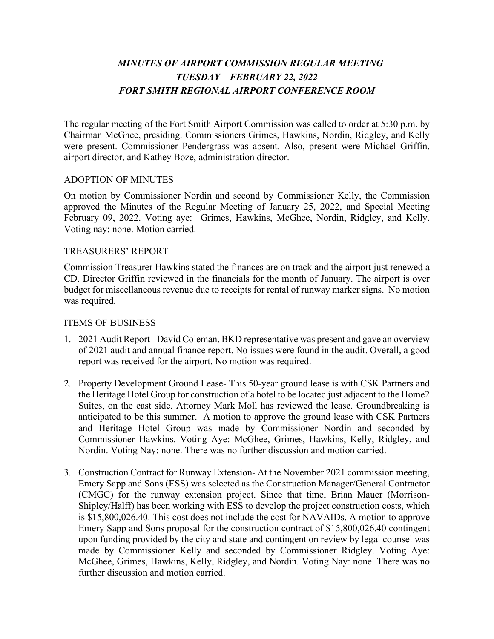# *MINUTES OF AIRPORT COMMISSION REGULAR MEETING TUESDAY – FEBRUARY 22, 2022 FORT SMITH REGIONAL AIRPORT CONFERENCE ROOM*

The regular meeting of the Fort Smith Airport Commission was called to order at 5:30 p.m. by Chairman McGhee, presiding. Commissioners Grimes, Hawkins, Nordin, Ridgley, and Kelly were present. Commissioner Pendergrass was absent. Also, present were Michael Griffin, airport director, and Kathey Boze, administration director.

### ADOPTION OF MINUTES

On motion by Commissioner Nordin and second by Commissioner Kelly, the Commission approved the Minutes of the Regular Meeting of January 25, 2022, and Special Meeting February 09, 2022. Voting aye: Grimes, Hawkins, McGhee, Nordin, Ridgley, and Kelly. Voting nay: none. Motion carried.

#### TREASURERS' REPORT

Commission Treasurer Hawkins stated the finances are on track and the airport just renewed a CD. Director Griffin reviewed in the financials for the month of January. The airport is over budget for miscellaneous revenue due to receipts for rental of runway marker signs. No motion was required.

#### ITEMS OF BUSINESS

- 1. 2021 Audit Report David Coleman, BKD representative was present and gave an overview of 2021 audit and annual finance report. No issues were found in the audit. Overall, a good report was received for the airport. No motion was required.
- 2. Property Development Ground Lease- This 50-year ground lease is with CSK Partners and the Heritage Hotel Group for construction of a hotel to be located just adjacent to the Home2 Suites, on the east side. Attorney Mark Moll has reviewed the lease. Groundbreaking is anticipated to be this summer. A motion to approve the ground lease with CSK Partners and Heritage Hotel Group was made by Commissioner Nordin and seconded by Commissioner Hawkins. Voting Aye: McGhee, Grimes, Hawkins, Kelly, Ridgley, and Nordin. Voting Nay: none. There was no further discussion and motion carried.
- 3. Construction Contract for Runway Extension- At the November 2021 commission meeting, Emery Sapp and Sons (ESS) was selected as the Construction Manager/General Contractor (CMGC) for the runway extension project. Since that time, Brian Mauer (Morrison-Shipley/Halff) has been working with ESS to develop the project construction costs, which is \$15,800,026.40. This cost does not include the cost for NAVAIDs. A motion to approve Emery Sapp and Sons proposal for the construction contract of \$15,800,026.40 contingent upon funding provided by the city and state and contingent on review by legal counsel was made by Commissioner Kelly and seconded by Commissioner Ridgley. Voting Aye: McGhee, Grimes, Hawkins, Kelly, Ridgley, and Nordin. Voting Nay: none. There was no further discussion and motion carried.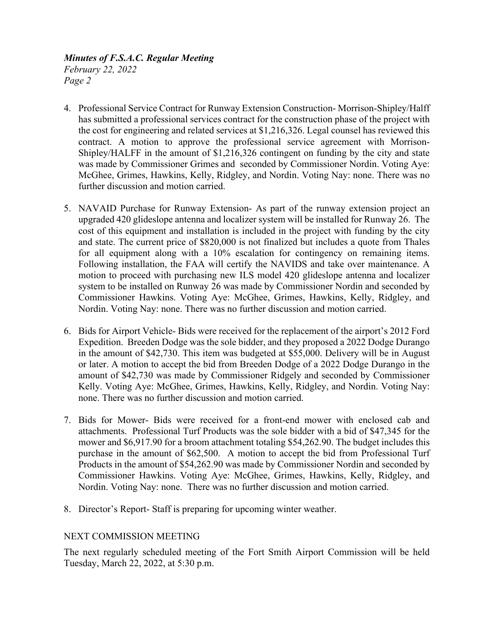# *Minutes of F.S.A.C. Regular Meeting*

*February 22, 2022 Page 2*

- 4. Professional Service Contract for Runway Extension Construction- Morrison-Shipley/Halff has submitted a professional services contract for the construction phase of the project with the cost for engineering and related services at \$1,216,326. Legal counsel has reviewed this contract. A motion to approve the professional service agreement with Morrison-Shipley/HALFF in the amount of \$1,216,326 contingent on funding by the city and state was made by Commissioner Grimes and seconded by Commissioner Nordin. Voting Aye: McGhee, Grimes, Hawkins, Kelly, Ridgley, and Nordin. Voting Nay: none. There was no further discussion and motion carried.
- 5. NAVAID Purchase for Runway Extension- As part of the runway extension project an upgraded 420 glideslope antenna and localizer system will be installed for Runway 26. The cost of this equipment and installation is included in the project with funding by the city and state. The current price of \$820,000 is not finalized but includes a quote from Thales for all equipment along with a 10% escalation for contingency on remaining items. Following installation, the FAA will certify the NAVIDS and take over maintenance. A motion to proceed with purchasing new ILS model 420 glideslope antenna and localizer system to be installed on Runway 26 was made by Commissioner Nordin and seconded by Commissioner Hawkins. Voting Aye: McGhee, Grimes, Hawkins, Kelly, Ridgley, and Nordin. Voting Nay: none. There was no further discussion and motion carried.
- 6. Bids for Airport Vehicle- Bids were received for the replacement of the airport's 2012 Ford Expedition. Breeden Dodge was the sole bidder, and they proposed a 2022 Dodge Durango in the amount of \$42,730. This item was budgeted at \$55,000. Delivery will be in August or later. A motion to accept the bid from Breeden Dodge of a 2022 Dodge Durango in the amount of \$42,730 was made by Commissioner Ridgely and seconded by Commissioner Kelly. Voting Aye: McGhee, Grimes, Hawkins, Kelly, Ridgley, and Nordin. Voting Nay: none. There was no further discussion and motion carried.
- 7. Bids for Mower- Bids were received for a front-end mower with enclosed cab and attachments. Professional Turf Products was the sole bidder with a bid of \$47,345 for the mower and \$6,917.90 for a broom attachment totaling \$54,262.90. The budget includes this purchase in the amount of \$62,500. A motion to accept the bid from Professional Turf Products in the amount of \$54,262.90 was made by Commissioner Nordin and seconded by Commissioner Hawkins. Voting Aye: McGhee, Grimes, Hawkins, Kelly, Ridgley, and Nordin. Voting Nay: none. There was no further discussion and motion carried.
- 8. Director's Report- Staff is preparing for upcoming winter weather.

## NEXT COMMISSION MEETING

The next regularly scheduled meeting of the Fort Smith Airport Commission will be held Tuesday, March 22, 2022, at 5:30 p.m.